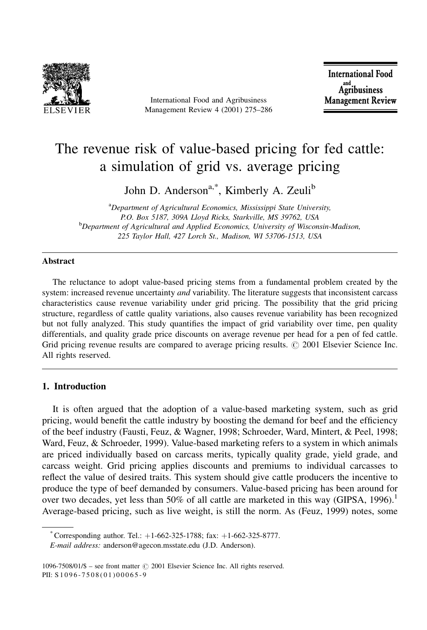

International Food and Agribusiness Management Review 4 (2001) 275-286

**International Food** and<br>Agribusiness **Management Review** 

# The revenue risk of value-based pricing for fed cattle: a simulation of grid vs. average pricing

John D. Anderson<sup>a,\*</sup>, Kimberly A. Zeuli<sup>b</sup>

<sup>a</sup>Department of Agricultural Economics, Mississippi State University, P.O. Box 5187, 309A Lloyd Ricks, Starkville, MS 39762, USA <sup>b</sup>Department of Agricultural and Applied Economics, University of Wisconsin-Madison, 225 Taylor Hall, 427 Lorch St., Madison, WI 53706-1513, USA

#### **Abstract**

The reluctance to adopt value-based pricing stems from a fundamental problem created by the system: increased revenue uncertainty and variability. The literature suggests that inconsistent carcass characteristics cause revenue variability under grid pricing. The possibility that the grid pricing structure, regardless of cattle quality variations, also causes revenue variability has been recognized but not fully analyzed. This study quantifies the impact of grid variability over time, pen quality differentials, and quality grade price discounts on average revenue per head for a pen of fed cattle. Grid pricing revenue results are compared to average pricing results. © 2001 Elsevier Science Inc. All rights reserved.

#### 1. Introduction

It is often argued that the adoption of a value-based marketing system, such as grid pricing, would benefit the cattle industry by boosting the demand for beef and the efficiency of the beef industry (Fausti, Feuz, & Wagner, 1998; Schroeder, Ward, Mintert, & Peel, 1998; Ward, Feuz, & Schroeder, 1999). Value-based marketing refers to a system in which animals are priced individually based on carcass merits, typically quality grade, yield grade, and carcass weight. Grid pricing applies discounts and premiums to individual carcasses to reflect the value of desired traits. This system should give cattle producers the incentive to produce the type of beef demanded by consumers. Value-based pricing has been around for over two decades, yet less than 50% of all cattle are marketed in this way (GIPSA, 1996). Average-based pricing, such as live weight, is still the norm. As (Feuz, 1999) notes, some

<sup>\*</sup> Corresponding author. Tel.:  $+1-662-325-1788$ ; fax:  $+1-662-325-8777$ . E-mail address: anderson@agecon.msstate.edu (J.D. Anderson).

<sup>1096-7508/01/\$ -</sup> see front matter © 2001 Elsevier Science Inc. All rights reserved. PII: S1096-7508(01)00065-9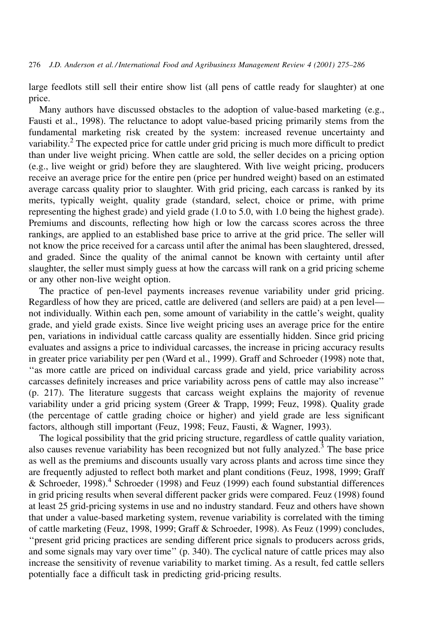large feedlots still sell their entire show list (all pens of cattle ready for slaughter) at one price.

Many authors have discussed obstacles to the adoption of value-based marketing (e.g., Fausti et al., 1998). The reluctance to adopt value-based pricing primarily stems from the fundamental marketing risk created by the system: increased revenue uncertainty and variability.<sup>2</sup> The expected price for cattle under grid pricing is much more difficult to predict than under live weight pricing. When cattle are sold, the seller decides on a pricing option (e.g., live weight or grid) before they are slaughtered. With live weight pricing, producers receive an average price for the entire pen (price per hundred weight) based on an estimated average carcass quality prior to slaughter. With grid pricing, each carcass is ranked by its merits, typically weight, quality grade (standard, select, choice or prime, with prime representing the highest grade) and yield grade (1.0 to 5.0, with 1.0 being the highest grade). Premiums and discounts, reflecting how high or low the carcass scores across the three rankings, are applied to an established base price to arrive at the grid price. The seller will not know the price received for a carcass until after the animal has been slaughtered, dressed, and graded. Since the quality of the animal cannot be known with certainty until after slaughter, the seller must simply guess at how the carcass will rank on a grid pricing scheme or any other non-live weight option.

The practice of pen-level payments increases revenue variability under grid pricing. Regardless of how they are priced, cattle are delivered (and sellers are paid) at a pen level not individually. Within each pen, some amount of variability in the cattle's weight, quality grade, and yield grade exists. Since live weight pricing uses an average price for the entire pen, variations in individual cattle carcass quality are essentially hidden. Since grid pricing evaluates and assigns a price to individual carcasses, the increase in pricing accuracy results in greater price variability per pen (Ward et al., 1999). Graff and Schroeder (1998) note that, "as more cattle are priced on individual carcass grade and yield, price variability across carcasses definitely increases and price variability across pens of cattle may also increase" (p. 217). The literature suggests that carcass weight explains the majority of revenue variability under a grid pricing system (Greer & Trapp, 1999; Feuz, 1998). Quality grade (the percentage of cattle grading choice or higher) and yield grade are less significant factors, although still important (Feuz, 1998; Feuz, Fausti, & Wagner, 1993).

The logical possibility that the grid pricing structure, regardless of cattle quality variation, also causes revenue variability has been recognized but not fully analyzed.<sup>3</sup> The base price as well as the premiums and discounts usually vary across plants and across time since they are frequently adjusted to reflect both market and plant conditions (Feuz, 1998, 1999; Graff & Schroeder, 1998).<sup>4</sup> Schroeder (1998) and Feuz (1999) each found substantial differences in grid pricing results when several different packer grids were compared. Feuz (1998) found at least 25 grid-pricing systems in use and no industry standard. Feuz and others have shown that under a value-based marketing system, revenue variability is correlated with the timing of cattle marketing (Feuz, 1998, 1999; Graff & Schroeder, 1998). As Feuz (1999) concludes, "present grid pricing practices are sending different price signals to producers across grids, and some signals may vary over time" (p. 340). The cyclical nature of cattle prices may also increase the sensitivity of revenue variability to market timing. As a result, fed cattle sellers potentially face a difficult task in predicting grid-pricing results.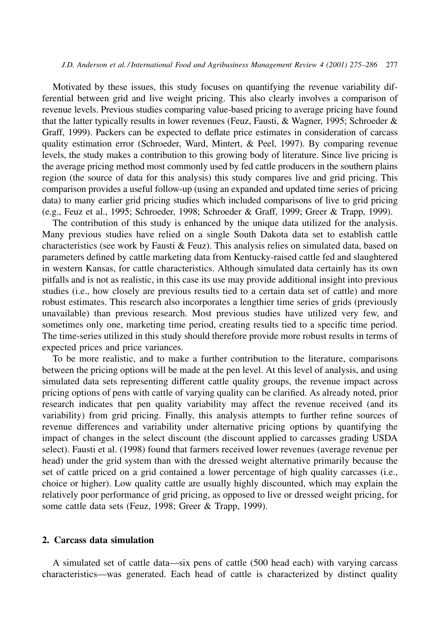Motivated by these issues, this study focuses on quantifying the revenue variability differential between grid and live weight pricing. This also clearly involves a comparison of revenue levels. Previous studies comparing value-based pricing to average pricing have found that the latter typically results in lower revenues (Feuz, Fausti, & Wagner, 1995; Schroeder & Graff, 1999). Packers can be expected to deflate price estimates in consideration of carcass quality estimation error (Schroeder, Ward, Mintert, & Peel, 1997). By comparing revenue levels, the study makes a contribution to this growing body of literature. Since live pricing is the average pricing method most commonly used by fed cattle producers in the southern plains region (the source of data for this analysis) this study compares live and grid pricing. This comparison provides a useful follow-up (using an expanded and updated time series of pricing data) to many earlier grid pricing studies which included comparisons of live to grid pricing (e.g., Feuz et al., 1995; Schroeder, 1998; Schroeder & Graff, 1999; Greer & Trapp, 1999).

The contribution of this study is enhanced by the unique data utilized for the analysis. Many previous studies have relied on a single South Dakota data set to establish cattle characteristics (see work by Fausti & Feuz). This analysis relies on simulated data, based on parameters defined by cattle marketing data from Kentucky-raised cattle fed and slaughtered in western Kansas, for cattle characteristics. Although simulated data certainly has its own pitfalls and is not as realistic, in this case its use may provide additional insight into previous studies (i.e., how closely are previous results tied to a certain data set of cattle) and more robust estimates. This research also incorporates a lengthier time series of grids (previously unavailable) than previous research. Most previous studies have utilized very few, and sometimes only one, marketing time period, creating results tied to a specific time period. The time-series utilized in this study should therefore provide more robust results in terms of expected prices and price variances.

To be more realistic, and to make a further contribution to the literature, comparisons between the pricing options will be made at the pen level. At this level of analysis, and using simulated data sets representing different cattle quality groups, the revenue impact across pricing options of pens with cattle of varying quality can be clarified. As already noted, prior research indicates that pen quality variability may affect the revenue received (and its variability) from grid pricing. Finally, this analysis attempts to further refine sources of revenue differences and variability under alternative pricing options by quantifying the impact of changes in the select discount (the discount applied to carcasses grading USDA select). Fausti et al. (1998) found that farmers received lower revenues (average revenue per head) under the grid system than with the dressed weight alternative primarily because the set of cattle priced on a grid contained a lower percentage of high quality carcasses (i.e., choice or higher). Low quality cattle are usually highly discounted, which may explain the relatively poor performance of grid pricing, as opposed to live or dressed weight pricing, for some cattle data sets (Feuz, 1998; Greer & Trapp, 1999).

# 2. Carcass data simulation

A simulated set of cattle data—six pens of cattle (500 head each) with varying carcass characteristics—was generated. Each head of cattle is characterized by distinct quality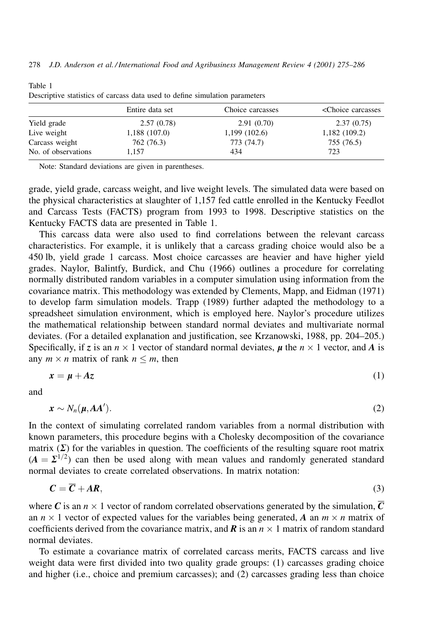|                     | Entire data set | Choice carcasses | <choice carcasses<="" th=""></choice> |
|---------------------|-----------------|------------------|---------------------------------------|
| Yield grade         | 2.57(0.78)      | 2.91(0.70)       | 2.37(0.75)                            |
| Live weight         | 1,188(107.0)    | 1,199 (102.6)    | 1,182(109.2)                          |
| Carcass weight      | 762 (76.3)      | 773 (74.7)       | 755 (76.5)                            |
| No. of observations | 1.157           | 434              | 723                                   |

Table 1 Descriptive statistics of carcass data used to define simulation parameters

Note: Standard deviations are given in parentheses.

grade, yield grade, carcass weight, and live weight levels. The simulated data were based on the physical characteristics at slaughter of 1,157 fed cattle enrolled in the Kentucky Feedlot and Carcass Tests (FACTS) program from 1993 to 1998. Descriptive statistics on the Kentucky FACTS data are presented in Table 1.

This carcass data were also used to find correlations between the relevant carcass characteristics. For example, it is unlikely that a carcass grading choice would also be a 450 lb, yield grade 1 carcass. Most choice carcasses are heavier and have higher yield grades. Naylor, Balintfy, Burdick, and Chu (1966) outlines a procedure for correlating normally distributed random variables in a computer simulation using information from the covariance matrix. This methodology was extended by Clements, Mapp, and Eidman (1971) to develop farm simulation models. Trapp (1989) further adapted the methodology to a spreadsheet simulation environment, which is employed here. Naylor's procedure utilizes the mathematical relationship between standard normal deviates and multivariate normal deviates. (For a detailed explanation and justification, see Krzanowski, 1988, pp. 204–205.) Specifically, if z is an  $n \times 1$  vector of standard normal deviates,  $\mu$  the  $n \times 1$  vector, and A is any  $m \times n$  matrix of rank  $n \leq m$ , then

$$
x = \mu + Az \tag{1}
$$

and

$$
\mathbf{x} \sim N_n(\boldsymbol{\mu}, \boldsymbol{A}\boldsymbol{A}'). \tag{2}
$$

In the context of simulating correlated random variables from a normal distribution with known parameters, this procedure begins with a Cholesky decomposition of the covariance matrix  $(\Sigma)$  for the variables in question. The coefficients of the resulting square root matrix  $(A = \Sigma^{1/2})$  can then be used along with mean values and randomly generated standard normal deviates to create correlated observations. In matrix notation:

$$
C = \overline{C} + AR,\tag{3}
$$

where C is an  $n \times 1$  vector of random correlated observations generated by the simulation,  $\overline{C}$ an  $n \times 1$  vector of expected values for the variables being generated, A an  $m \times n$  matrix of coefficients derived from the covariance matrix, and **R** is an  $n \times 1$  matrix of random standard normal deviates.

To estimate a covariance matrix of correlated carcass merits, FACTS carcass and live weight data were first divided into two quality grade groups: (1) carcasses grading choice and higher (i.e., choice and premium carcasses); and (2) carcasses grading less than choice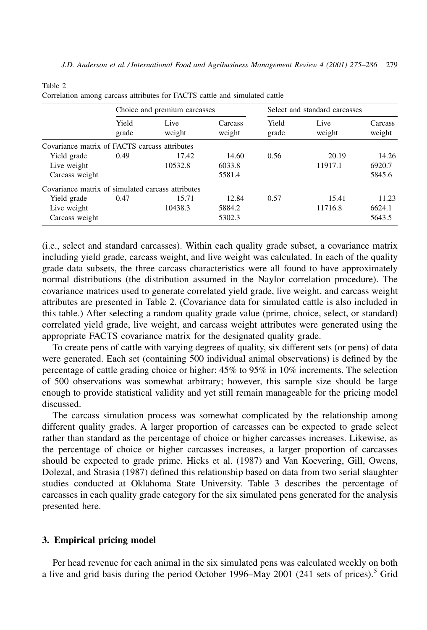|                                                   |                | Choice and premium carcasses |                   | Select and standard carcasses |                |                   |
|---------------------------------------------------|----------------|------------------------------|-------------------|-------------------------------|----------------|-------------------|
|                                                   | Yield<br>grade | Live<br>weight               | Carcass<br>weight | Yield<br>grade                | Live<br>weight | Carcass<br>weight |
| Covariance matrix of FACTS carcass attributes     |                |                              |                   |                               |                |                   |
| Yield grade                                       | 0.49           | 17.42                        | 14.60             | 0.56                          | 20.19          | 14.26             |
| Live weight                                       |                | 10532.8                      | 6033.8            |                               | 11917.1        | 6920.7            |
| Carcass weight                                    |                |                              | 5581.4            |                               |                | 5845.6            |
| Covariance matrix of simulated carcass attributes |                |                              |                   |                               |                |                   |
| Yield grade                                       | 0.47           | 15.71                        | 12.84             | 0.57                          | 15.41          | 11.23             |
| Live weight                                       |                | 10438.3                      | 5884.2            |                               | 11716.8        | 6624.1            |
| Carcass weight                                    |                |                              | 5302.3            |                               |                | 5643.5            |

Table 2

| Correlation among carcass attributes for FACTS cattle and simulated cattle |  |  |  |
|----------------------------------------------------------------------------|--|--|--|
|                                                                            |  |  |  |

(i.e., select and standard carcasses). Within each quality grade subset, a covariance matrix including yield grade, carcass weight, and live weight was calculated. In each of the quality grade data subsets, the three carcass characteristics were all found to have approximately normal distributions (the distribution assumed in the Naylor correlation procedure). The covariance matrices used to generate correlated yield grade, live weight, and carcass weight attributes are presented in Table 2. (Covariance data for simulated cattle is also included in this table.) After selecting a random quality grade value (prime, choice, select, or standard) correlated yield grade, live weight, and carcass weight attributes were generated using the appropriate FACTS covariance matrix for the designated quality grade.

To create pens of cattle with varying degrees of quality, six different sets (or pens) of data were generated. Each set (containing 500 individual animal observations) is defined by the percentage of cattle grading choice or higher: 45% to 95% in 10% increments. The selection of 500 observations was somewhat arbitrary; however, this sample size should be large enough to provide statistical validity and yet still remain manageable for the pricing model discussed.

The carcass simulation process was somewhat complicated by the relationship among different quality grades. A larger proportion of carcasses can be expected to grade select rather than standard as the percentage of choice or higher carcasses increases. Likewise, as the percentage of choice or higher carcasses increases, a larger proportion of carcasses should be expected to grade prime. Hicks et al. (1987) and Van Koevering, Gill, Owens, Dolezal, and Strasia (1987) defined this relationship based on data from two serial slaughter studies conducted at Oklahoma State University. Table 3 describes the percentage of carcasses in each quality grade category for the six simulated pens generated for the analysis presented here.

# 3. Empirical pricing model

Per head revenue for each animal in the six simulated pens was calculated weekly on both a live and grid basis during the period October 1996–May 2001 (241 sets of prices).<sup>5</sup> Grid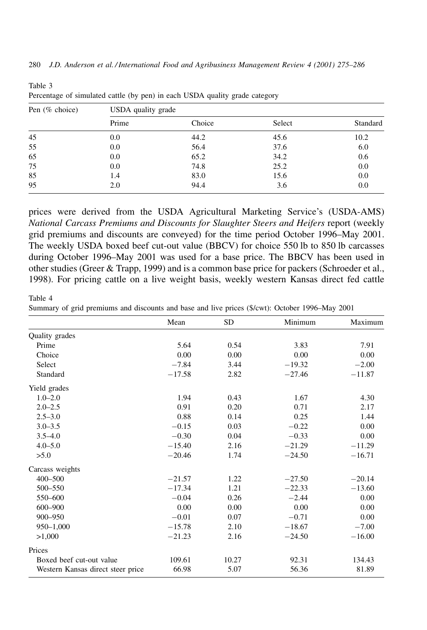| Pen (% choice) | USDA quality grade |        |        |          |  |  |  |  |
|----------------|--------------------|--------|--------|----------|--|--|--|--|
|                | Prime              | Choice | Select | Standard |  |  |  |  |
| 45             | 0.0                | 44.2   | 45.6   | 10.2     |  |  |  |  |
| 55             | 0.0                | 56.4   | 37.6   | 6.0      |  |  |  |  |
| 65             | 0.0                | 65.2   | 34.2   | 0.6      |  |  |  |  |
| 75             | 0.0                | 74.8   | 25.2   | 0.0      |  |  |  |  |
| 85             | 1.4                | 83.0   | 15.6   | 0.0      |  |  |  |  |
| 95             | 2.0                | 94.4   | 3.6    | 0.0      |  |  |  |  |

| Table 3                                                                     |  |
|-----------------------------------------------------------------------------|--|
| Percentage of simulated cattle (by pen) in each USDA quality grade category |  |

prices were derived from the USDA Agricultural Marketing Service's (USDA-AMS) National Carcass Premiums and Discounts for Slaughter Steers and Heifers report (weekly grid premiums and discounts are conveyed) for the time period October 1996–May 2001. The weekly USDA boxed beef cut-out value (BBCV) for choice 550 lb to 850 lb carcasses during October 1996–May 2001 was used for a base price. The BBCV has been used in other studies (Greer & Trapp, 1999) and is a common base price for packers (Schroeder et al., 1998). For pricing cattle on a live weight basis, weekly western Kansas direct fed cattle

Table 4

Summary of grid premiums and discounts and base and live prices (\$/cwt): October 1996–May 2001

|                                   | Mean     | <b>SD</b> | Minimum  | Maximum  |
|-----------------------------------|----------|-----------|----------|----------|
| Quality grades                    |          |           |          |          |
| Prime                             | 5.64     | 0.54      | 3.83     | 7.91     |
| Choice                            | 0.00     | 0.00      | 0.00     | 0.00     |
| Select                            | $-7.84$  | 3.44      | $-19.32$ | $-2.00$  |
| Standard                          | $-17.58$ | 2.82      | $-27.46$ | $-11.87$ |
| Yield grades                      |          |           |          |          |
| $1.0 - 2.0$                       | 1.94     | 0.43      | 1.67     | 4.30     |
| $2.0 - 2.5$                       | 0.91     | 0.20      | 0.71     | 2.17     |
| $2.5 - 3.0$                       | 0.88     | 0.14      | 0.25     | 1.44     |
| $3.0 - 3.5$                       | $-0.15$  | 0.03      | $-0.22$  | 0.00     |
| $3.5 - 4.0$                       | $-0.30$  | 0.04      | $-0.33$  | 0.00     |
| $4.0 - 5.0$                       | $-15.40$ | 2.16      | $-21.29$ | $-11.29$ |
| >5.0                              | $-20.46$ | 1.74      | $-24.50$ | $-16.71$ |
| Carcass weights                   |          |           |          |          |
| 400-500                           | $-21.57$ | 1.22      | $-27.50$ | $-20.14$ |
| 500-550                           | $-17.34$ | 1.21      | $-22.33$ | $-13.60$ |
| 550-600                           | $-0.04$  | 0.26      | $-2.44$  | 0.00     |
| 600-900                           | 0.00     | 0.00      | 0.00     | 0.00     |
| $900 - 950$                       | $-0.01$  | 0.07      | $-0.71$  | 0.00     |
| 950-1,000                         | $-15.78$ | 2.10      | $-18.67$ | $-7.00$  |
| >1,000                            | $-21.23$ | 2.16      | $-24.50$ | $-16.00$ |
| Prices                            |          |           |          |          |
| Boxed beef cut-out value          | 109.61   | 10.27     | 92.31    | 134.43   |
| Western Kansas direct steer price | 66.98    | 5.07      | 56.36    | 81.89    |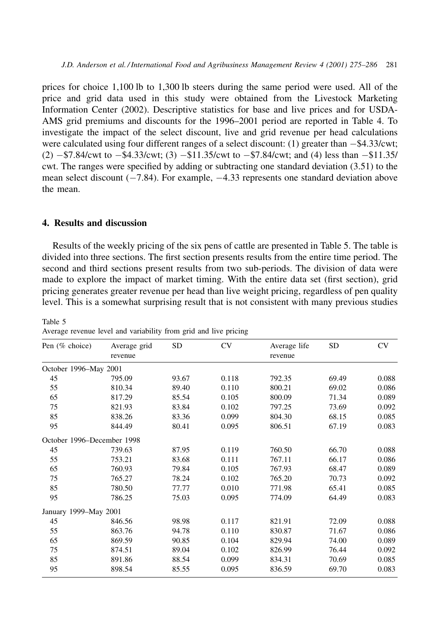prices for choice 1,100 lb to 1,300 lb steers during the same period were used. All of the price and grid data used in this study were obtained from the Livestock Marketing Information Center (2002). Descriptive statistics for base and live prices and for USDA-AMS grid premiums and discounts for the 1996–2001 period are reported in Table 4. To investigate the impact of the select discount, live and grid revenue per head calculations were calculated using four different ranges of a select discount: (1) greater than -\$4.33/cwt;  $(2)$  -\$7.84/cwt to -\$4.33/cwt; (3) -\$11.35/cwt to -\$7.84/cwt; and (4) less than -\$11.35/ cwt. The ranges were specified by adding or subtracting one standard deviation (3.51) to the mean select discount  $(-7.84)$ . For example,  $-4.33$  represents one standard deviation above the mean.

### 4. Results and discussion

Table 5

Results of the weekly pricing of the six pens of cattle are presented in Table 5. The table is divided into three sections. The first section presents results from the entire time period. The second and third sections present results from two sub-periods. The division of data were made to explore the impact of market timing. With the entire data set (first section), grid pricing generates greater revenue per head than live weight pricing, regardless of pen quality level. This is a somewhat surprising result that is not consistent with many previous studies

| Pen (% choice)             | Average grid<br>revenue | <b>SD</b> | CV    | Average life<br>revenue | <b>SD</b> | CV    |
|----------------------------|-------------------------|-----------|-------|-------------------------|-----------|-------|
| October 1996–May 2001      |                         |           |       |                         |           |       |
| 45                         | 795.09                  | 93.67     | 0.118 | 792.35                  | 69.49     | 0.088 |
| 55                         | 810.34                  | 89.40     | 0.110 | 800.21                  | 69.02     | 0.086 |
| 65                         | 817.29                  | 85.54     | 0.105 | 800.09                  | 71.34     | 0.089 |
| 75                         | 821.93                  | 83.84     | 0.102 | 797.25                  | 73.69     | 0.092 |
| 85                         | 838.26                  | 83.36     | 0.099 | 804.30                  | 68.15     | 0.085 |
| 95                         | 844.49                  | 80.41     | 0.095 | 806.51                  | 67.19     | 0.083 |
| October 1996–December 1998 |                         |           |       |                         |           |       |
| 45                         | 739.63                  | 87.95     | 0.119 | 760.50                  | 66.70     | 0.088 |
| 55                         | 753.21                  | 83.68     | 0.111 | 767.11                  | 66.17     | 0.086 |
| 65                         | 760.93                  | 79.84     | 0.105 | 767.93                  | 68.47     | 0.089 |
| 75                         | 765.27                  | 78.24     | 0.102 | 765.20                  | 70.73     | 0.092 |
| 85                         | 780.50                  | 77.77     | 0.010 | 771.98                  | 65.41     | 0.085 |
| 95                         | 786.25                  | 75.03     | 0.095 | 774.09                  | 64.49     | 0.083 |
| January 1999–May 2001      |                         |           |       |                         |           |       |
| 45                         | 846.56                  | 98.98     | 0.117 | 821.91                  | 72.09     | 0.088 |
| 55                         | 863.76                  | 94.78     | 0.110 | 830.87                  | 71.67     | 0.086 |
| 65                         | 869.59                  | 90.85     | 0.104 | 829.94                  | 74.00     | 0.089 |
| 75                         | 874.51                  | 89.04     | 0.102 | 826.99                  | 76.44     | 0.092 |
| 85                         | 891.86                  | 88.54     | 0.099 | 834.31                  | 70.69     | 0.085 |
| 95                         | 898.54                  | 85.55     | 0.095 | 836.59                  | 69.70     | 0.083 |

Average revenue level and variability from grid and live pricing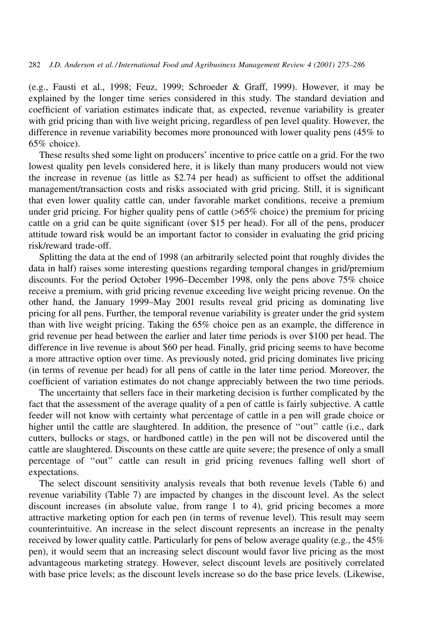(e.g., Fausti et al., 1998; Feuz, 1999; Schroeder & Graff, 1999). However, it may be explained by the longer time series considered in this study. The standard deviation and coefficient of variation estimates indicate that, as expected, revenue variability is greater with grid pricing than with live weight pricing, regardless of pen level quality. However, the difference in revenue variability becomes more pronounced with lower quality pens (45% to  $65\%$  choice).

These results shed some light on producers' incentive to price cattle on a grid. For the two lowest quality pen levels considered here, it is likely than many producers would not view the increase in revenue (as little as \$2.74 per head) as sufficient to offset the additional management/transaction costs and risks associated with grid pricing. Still, it is significant that even lower quality cattle can, under favorable market conditions, receive a premium under grid pricing. For higher quality pens of cattle  $(565\% \text{ choice})$  the premium for pricing cattle on a grid can be quite significant (over \$15 per head). For all of the pens, producer attitude toward risk would be an important factor to consider in evaluating the grid pricing risk/reward trade-off.

Splitting the data at the end of 1998 (an arbitrarily selected point that roughly divides the data in half) raises some interesting questions regarding temporal changes in grid/premium discounts. For the period October 1996–December 1998, only the pens above 75% choice receive a premium, with grid pricing revenue exceeding live weight pricing revenue. On the other hand, the January 1999–May 2001 results reveal grid pricing as dominating live pricing for all pens. Further, the temporal revenue variability is greater under the grid system than with live weight pricing. Taking the  $65\%$  choice pen as an example, the difference in grid revenue per head between the earlier and later time periods is over \$100 per head. The difference in live revenue is about \$60 per head. Finally, grid pricing seems to have become a more attractive option over time. As previously noted, grid pricing dominates live pricing (in terms of revenue per head) for all pens of cattle in the later time period. Moreover, the coefficient of variation estimates do not change appreciably between the two time periods.

The uncertainty that sellers face in their marketing decision is further complicated by the fact that the assessment of the average quality of a pen of cattle is fairly subjective. A cattle feeder will not know with certainty what percentage of cattle in a pen will grade choice or higher until the cattle are slaughtered. In addition, the presence of "out" cattle (i.e., dark cutters, bullocks or stags, or hardboned cattle) in the pen will not be discovered until the cattle are slaughtered. Discounts on these cattle are quite severe; the presence of only a small percentage of "out" cattle can result in grid pricing revenues falling well short of expectations.

The select discount sensitivity analysis reveals that both revenue levels (Table 6) and revenue variability (Table 7) are impacted by changes in the discount level. As the select discount increases (in absolute value, from range 1 to 4), grid pricing becomes a more attractive marketing option for each pen (in terms of revenue level). This result may seem counterintuitive. An increase in the select discount represents an increase in the penalty received by lower quality cattle. Particularly for pens of below average quality (e.g., the 45% pen), it would seem that an increasing select discount would favor live pricing as the most advantageous marketing strategy. However, select discount levels are positively correlated with base price levels; as the discount levels increase so do the base price levels. (Likewise,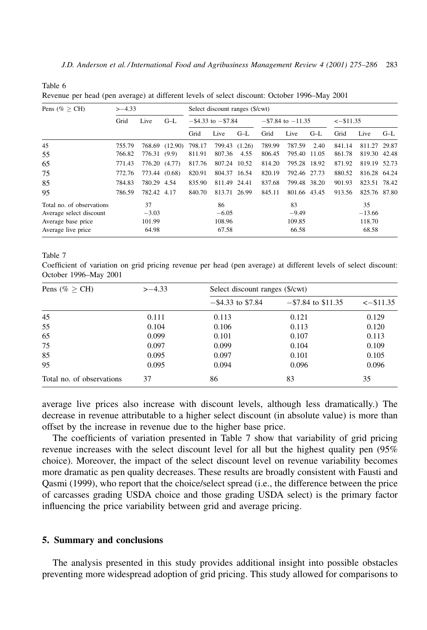Table 6

| Pens (% $>$ CH)           | $>-4.33$ |               |                | Select discount ranges (\$/cwt) |              |                         |        |              |                |        |              |       |
|---------------------------|----------|---------------|----------------|---------------------------------|--------------|-------------------------|--------|--------------|----------------|--------|--------------|-------|
|                           | Grid     | Live          | $G-L$          | $-$ \$4.33 to $-$ \$7.84        |              | $-$ \$7.84 to $-$ 11.35 |        |              | $\le -\$11.35$ |        |              |       |
|                           |          |               |                | Grid                            | Live         | $G-L$                   | Grid   | Live         | $G-L$          | Grid   | Live         | $G-L$ |
| 45                        | 755.79   |               | 768.69 (12.90) | 798.17                          | 799.43       | (1.26)                  | 789.99 | 787.59       | 2.40           | 841.14 | 811.27       | 29.87 |
| 55                        | 766.82   | 776.31 (9.9)  |                | 811.91                          | 807.36       | 4.55                    | 806.45 | 795.40 11.05 |                | 861.78 | 819.30 42.48 |       |
| 65                        | 771.43   | 776.20 (4.77) |                | 817.76                          | 807.24 10.52 |                         | 814.20 | 795.28 18.92 |                | 871.92 | 819.19 52.73 |       |
| 75                        | 772.76   | 773.44 (0.68) |                | 820.91                          | 804.37 16.54 |                         | 820.19 | 792.46 27.73 |                | 880.52 | 816.28 64.24 |       |
| 85                        | 784.83   | 780.29        | 4.54           | 835.90                          | 811.49 24.41 |                         | 837.68 | 799.48 38.20 |                | 901.93 | 823.51 78.42 |       |
| 95                        | 786.59   | 782.42 4.17   |                | 840.70                          | 813.71 26.99 |                         | 845.11 | 801.66 43.45 |                | 913.56 | 825.76 87.80 |       |
| Total no. of observations |          | 37            |                |                                 | 86           |                         |        | 83           |                |        | 35           |       |
| Average select discount   |          | $-3.03$       |                |                                 | $-6.05$      |                         |        | $-9.49$      |                |        | $-13.66$     |       |
| Average base price        |          | 101.99        |                |                                 | 108.96       |                         |        | 109.85       |                |        | 118.70       |       |
| Average live price        |          | 64.98         |                |                                 | 67.58        |                         |        | 66.58        |                |        | 68.58        |       |

|  |  |  |  |  |  |  |  |  |  |  | Revenue per head (pen average) at different levels of select discount: October 1996–May 2001 |  |  |
|--|--|--|--|--|--|--|--|--|--|--|----------------------------------------------------------------------------------------------|--|--|
|--|--|--|--|--|--|--|--|--|--|--|----------------------------------------------------------------------------------------------|--|--|

#### Table 7

Coefficient of variation on grid pricing revenue per head (pen average) at different levels of select discount: October 1996-May 2001

| Pens (% $>$ CH)           | $>-4.33$ | Select discount ranges (\$/cwt) |                       |                |  |  |  |  |  |
|---------------------------|----------|---------------------------------|-----------------------|----------------|--|--|--|--|--|
|                           |          | $-$ \$4.33 to \$7.84            | $-$ \$7.84 to \$11.35 | $\le -\$11.35$ |  |  |  |  |  |
| 45                        | 0.111    | 0.113                           | 0.121                 | 0.129          |  |  |  |  |  |
| 55                        | 0.104    | 0.106                           | 0.113                 | 0.120          |  |  |  |  |  |
| 65                        | 0.099    | 0.101                           | 0.107                 | 0.113          |  |  |  |  |  |
| 75                        | 0.097    | 0.099                           | 0.104                 | 0.109          |  |  |  |  |  |
| 85                        | 0.095    | 0.097                           | 0.101                 | 0.105          |  |  |  |  |  |
| 95                        | 0.095    | 0.094                           | 0.096                 | 0.096          |  |  |  |  |  |
| Total no. of observations | 37       | 86                              | 83                    | 35             |  |  |  |  |  |

average live prices also increase with discount levels, although less dramatically.) The decrease in revenue attributable to a higher select discount (in absolute value) is more than offset by the increase in revenue due to the higher base price.

The coefficients of variation presented in Table 7 show that variability of grid pricing revenue increases with the select discount level for all but the highest quality pen (95%) choice). Moreover, the impact of the select discount level on revenue variability becomes more dramatic as pen quality decreases. These results are broadly consistent with Fausti and Qasmi (1999), who report that the choice/select spread (i.e., the difference between the price of carcasses grading USDA choice and those grading USDA select) is the primary factor influencing the price variability between grid and average pricing.

#### 5. Summary and conclusions

The analysis presented in this study provides additional insight into possible obstacles preventing more widespread adoption of grid pricing. This study allowed for comparisons to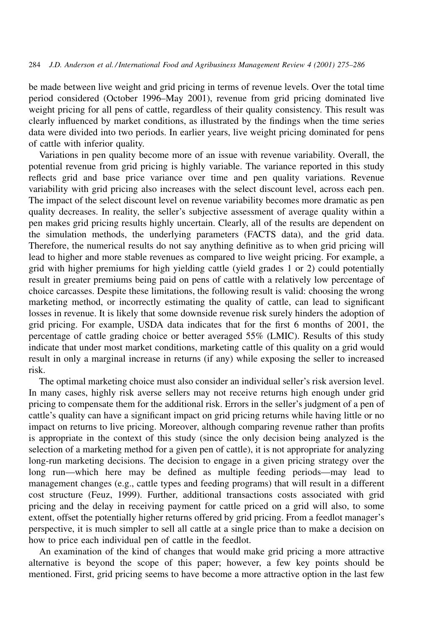be made between live weight and grid pricing in terms of revenue levels. Over the total time period considered (October 1996–May 2001), revenue from grid pricing dominated live weight pricing for all pens of cattle, regardless of their quality consistency. This result was clearly influenced by market conditions, as illustrated by the findings when the time series data were divided into two periods. In earlier years, live weight pricing dominated for pens of cattle with inferior quality.

Variations in pen quality become more of an issue with revenue variability. Overall, the potential revenue from grid pricing is highly variable. The variance reported in this study reflects grid and base price variance over time and pen quality variations. Revenue variability with grid pricing also increases with the select discount level, across each pen. The impact of the select discount level on revenue variability becomes more dramatic as pen quality decreases. In reality, the seller's subjective assessment of average quality within a pen makes grid pricing results highly uncertain. Clearly, all of the results are dependent on the simulation methods, the underlying parameters (FACTS data), and the grid data. Therefore, the numerical results do not say anything definitive as to when grid pricing will lead to higher and more stable revenues as compared to live weight pricing. For example, a grid with higher premiums for high yielding cattle (yield grades 1 or 2) could potentially result in greater premiums being paid on pens of cattle with a relatively low percentage of choice carcasses. Despite these limitations, the following result is valid: choosing the wrong marketing method, or incorrectly estimating the quality of cattle, can lead to significant losses in revenue. It is likely that some downside revenue risk surely hinders the adoption of grid pricing. For example, USDA data indicates that for the first 6 months of 2001, the percentage of cattle grading choice or better averaged 55% (LMIC). Results of this study indicate that under most market conditions, marketing cattle of this quality on a grid would result in only a marginal increase in returns (if any) while exposing the seller to increased risk.

The optimal marketing choice must also consider an individual seller's risk aversion level. In many cases, highly risk averse sellers may not receive returns high enough under grid pricing to compensate them for the additional risk. Errors in the seller's judgment of a pen of cattle's quality can have a significant impact on grid pricing returns while having little or no impact on returns to live pricing. Moreover, although comparing revenue rather than profits is appropriate in the context of this study (since the only decision being analyzed is the selection of a marketing method for a given pen of cattle), it is not appropriate for analyzing long-run marketing decisions. The decision to engage in a given pricing strategy over the long run—which here may be defined as multiple feeding periods—may lead to management changes (e.g., cattle types and feeding programs) that will result in a different cost structure (Feuz, 1999). Further, additional transactions costs associated with grid pricing and the delay in receiving payment for cattle priced on a grid will also, to some extent, offset the potentially higher returns offered by grid pricing. From a feedlot manager's perspective, it is much simpler to sell all cattle at a single price than to make a decision on how to price each individual pen of cattle in the feedlot.

An examination of the kind of changes that would make grid pricing a more attractive alternative is beyond the scope of this paper; however, a few key points should be mentioned. First, grid pricing seems to have become a more attractive option in the last few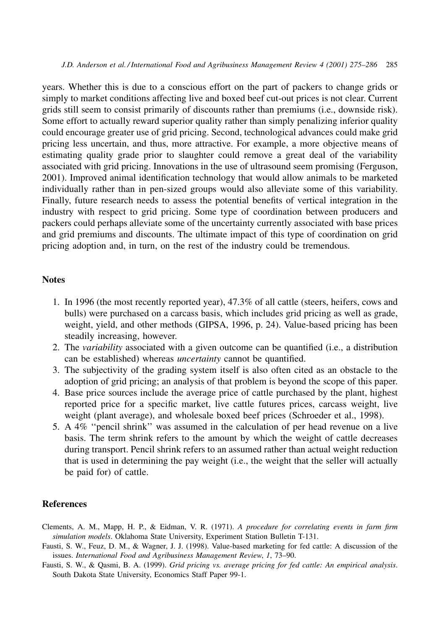years. Whether this is due to a conscious effort on the part of packers to change grids or simply to market conditions affecting live and boxed beef cut-out prices is not clear. Current grids still seem to consist primarily of discounts rather than premiums (i.e., downside risk). Some effort to actually reward superior quality rather than simply penalizing inferior quality could encourage greater use of grid pricing. Second, technological advances could make grid pricing less uncertain, and thus, more attractive. For example, a more objective means of estimating quality grade prior to slaughter could remove a great deal of the variability associated with grid pricing. Innovations in the use of ultrasound seem promising (Ferguson, 2001). Improved animal identification technology that would allow animals to be marketed individually rather than in pen-sized groups would also alleviate some of this variability. Finally, future research needs to assess the potential benefits of vertical integration in the industry with respect to grid pricing. Some type of coordination between producers and packers could perhaps alleviate some of the uncertainty currently associated with base prices and grid premiums and discounts. The ultimate impact of this type of coordination on grid pricing adoption and, in turn, on the rest of the industry could be tremendous.

#### **Notes**

- 1. In 1996 (the most recently reported year), 47.3% of all cattle (steers, heifers, cows and bulls) were purchased on a carcass basis, which includes grid pricing as well as grade, weight, yield, and other methods (GIPSA, 1996, p. 24). Value-based pricing has been steadily increasing, however.
- 2. The *variability* associated with a given outcome can be quantified (i.e., a distribution can be established) whereas *uncertainty* cannot be quantified.
- 3. The subjectivity of the grading system itself is also often cited as an obstacle to the adoption of grid pricing; an analysis of that problem is beyond the scope of this paper.
- 4. Base price sources include the average price of cattle purchased by the plant, highest reported price for a specific market, live cattle futures prices, carcass weight, live weight (plant average), and wholesale boxed beef prices (Schroeder et al., 1998).
- 5. A 4% "pencil shrink" was assumed in the calculation of per head revenue on a live basis. The term shrink refers to the amount by which the weight of cattle decreases during transport. Pencil shrink refers to an assumed rather than actual weight reduction that is used in determining the pay weight (i.e., the weight that the seller will actually be paid for) of cattle.

# **References**

- Clements, A. M., Mapp, H. P., & Eidman, V. R. (1971). A procedure for correlating events in farm firm simulation models. Oklahoma State University, Experiment Station Bulletin T-131.
- Fausti, S. W., Feuz, D. M., & Wagner, J. J. (1998). Value-based marketing for fed cattle: A discussion of the issues. International Food and Agribusiness Management Review, 1, 73-90.
- Fausti, S. W., & Qasmi, B. A. (1999). Grid pricing vs. average pricing for fed cattle: An empirical analysis. South Dakota State University, Economics Staff Paper 99-1.